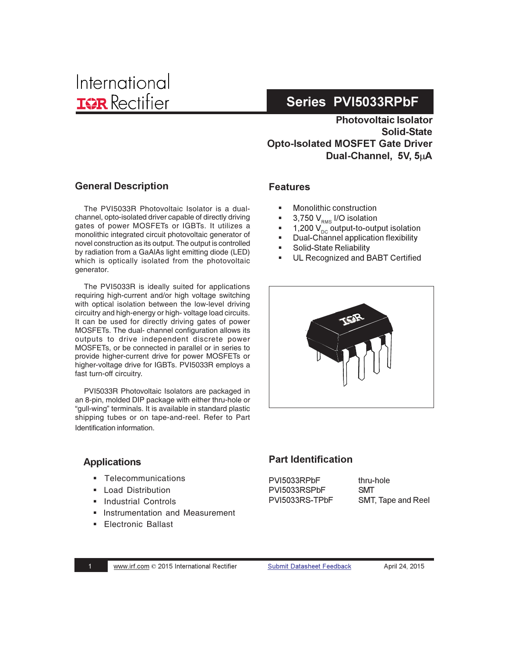**Photovoltaic Isolator** Solid-State **Opto-Isolated MOSFET Gate Driver** Dual-Channel. 5V. 5uA

### **General Description**

The PVI5033R Photovoltaic Isolator is a dualchannel, opto-isolated driver capable of directly driving gates of power MOSFETs or IGBTs. It utilizes a monolithic integrated circuit photovoltaic generator of novel construction as its output. The output is controlled by radiation from a GaAlAs light emitting diode (LED) which is optically isolated from the photovoltaic generator.

The PVI5033R is ideally suited for applications requiring high-current and/or high voltage switching with optical isolation between the low-level driving circuitry and high-energy or high- voltage load circuits. It can be used for directly driving gates of power MOSFETs. The dual- channel configuration allows its outputs to drive independent discrete power MOSFETs, or be connected in parallel or in series to provide higher-current drive for power MOSFETs or higher-voltage drive for IGBTs. PVI5033R employs a fast turn-off circuitry.

PVI5033R Photovoltaic Isolators are packaged in an 8-pin, molded DIP package with either thru-hole or "gull-wing" terminals. It is available in standard plastic shipping tubes or on tape-and-reel. Refer to Part Identification information.

## **Features**

- -Monolithic construction
- -■  $3,750$  V $_{\tiny{\textsf{RMS}}}$  I/O isolation
- -1,200  $V_{\text{nc}}^{\text{vac}}$  output-to-output isolation
- -Dual-Channel application flexibility
- -Solid-State Reliability
- -UL Recognized and BABT Certified



#### **Applications**

- Telecommunications
- -Load Distribution
- -Industrial Controls
- -Instrumentation and Measurement
- -Electronic Ballast

#### **Part Identification**

PVI5033RPbF PVI5033RSPbF PVI5033RS-TPbF thru-hole **SMT** SMT, Tape and Reel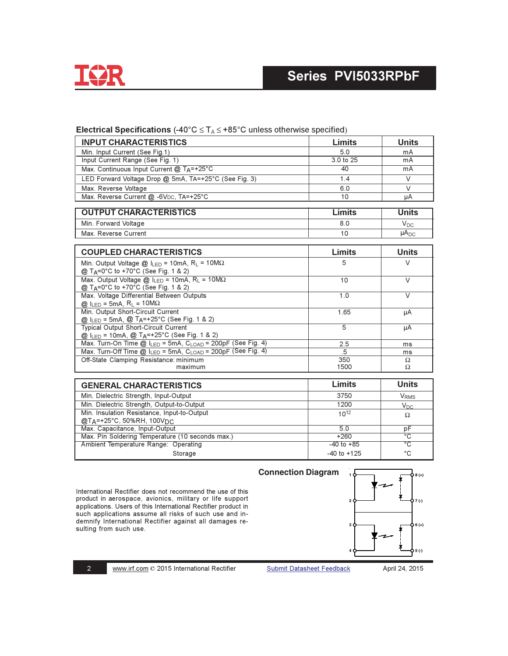

#### **INPUT CHARACTERISTICS** Limits **Units** Min. Input Current (See Fig.1)  $5.0$ mA Input Current Range (See Fig. 1)  $3.0$  to  $25$  $mA$ Max. Continuous Input Current @ TA=+25°C  $40$  $mA$ LED Forward Voltage Drop @ 5mA, TA=+25°C (See Fig. 3)  $1.4$ V Max. Reverse Voltage  $6.0$  $\vee$ Max. Reverse Current @ -6VDC, TA=+25°C  $10$ μA **OUTPUT CHARACTERISTICS Units** Limits Min. Forward Voltage  $8.0$  $V_{DC}$  $10$  $\mu A_{DC}$ Max. Reverse Current **COUPLED CHARACTERISTICS** Limits **Units** Min. Output Voltage @  $I_{LED} = 10mA$ , R<sub>L</sub> = 10M $\Omega$ 5  $\mathcal{U}$ @ T<sub>A</sub>=0°C to +70°C (See Fig. 1 & 2) Max. Output Voltage @  $I_{LED} = 10mA$ ,  $R_L = 10M\Omega$  $\overline{10}$  $\overline{\vee}$ @ T<sub>A</sub>=0°C to +70°C (See Fig. 1 & 2) Max. Voltage Differential Between Outputs  $\overline{1.0}$  $\overline{V}$  $@$  I<sub>LED</sub> = 5mA, R<sub>L</sub> = 10M $\Omega$ Min. Output Short-Circuit Current 1.65 μA @ ILED = 5mA, @ TA=+25°C (See Fig. 1 & 2) Typical Output Short-Circuit Current  $\overline{5}$  $\overline{\mu A}$ @ ILED = 10mA, @ TA=+25°C (See Fig. 1 & 2) Max. Turn-On Time @ ILED = 5mA, CLOAD = 200pF (See Fig. 4)  $2.5$  $ms$ Max. Turn-Off Time @ ILED = 5mA, CLOAD = 200pF (See Fig. 4) 5  $ms$ Off-State Clamping Resistance: minimum 350  $\Omega$ maximum 1500  $\Omega$ **Units GENERAL CHARACTERISTICS Limits** Min. Dielectric Strength, Input-Output 3750 **V**<sub>RMS</sub> Min. Dielectric Strength, Output-to-Output  $1200$  $\overline{V_{DC}}$ Min. Insulation Resistance, Input-to-Output  $10^{12}$  $\Omega$ @TA=+25°C, 50%RH, 100V<sub>DC</sub> Max. Capacitance, Input-Output  $5.0$ pF Max. Pin Soldering Temperature (10 seconds max.)  $+260$ ඁ Ambient Temperature Range: Operating  $-40$  to  $+85$  $\overline{\circ}$  $-40$  to  $+125$ °C Storage

Electrical Specifications (-40°C  $\leq$  T<sub>A</sub> $\leq$  +85°C unless otherwise specified)

International Rectifier does not recommend the use of this product in aerospace, avionics, military or life support applications. Users of this International Rectifier product in such applications assume all risks of such use and indemnify International Rectifier against all damages resulting from such use.



 $\overline{2}$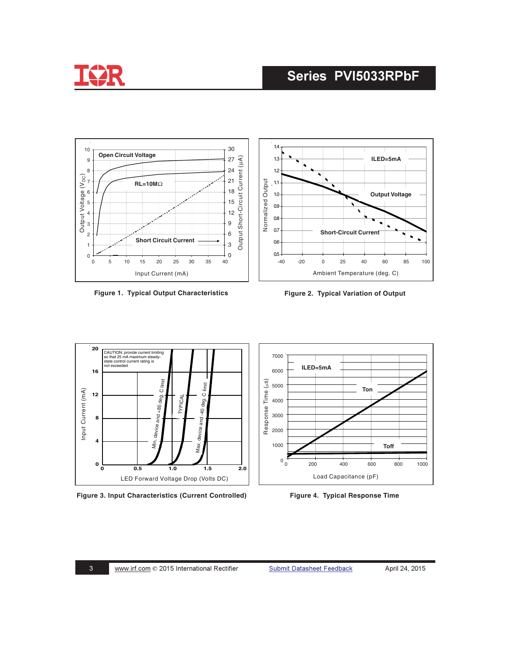



**Figure 1. Typical Output Characteristics Figure 2. Typical Variation of Output**



**Figure 3. Input Characteristics (Current Controlled) Figure 4. Typical Response Time**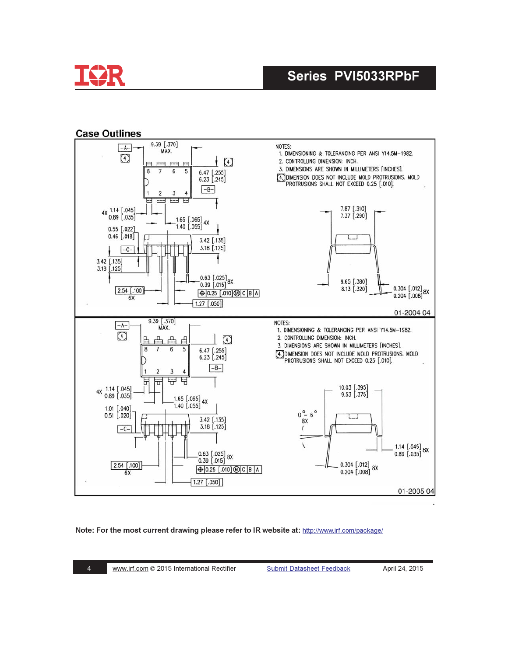

#### **Case Outlines**



#### Note: For the most current drawing please refer to IR website at: http://www.irf.com/package/

**Submit Datasheet Feedback**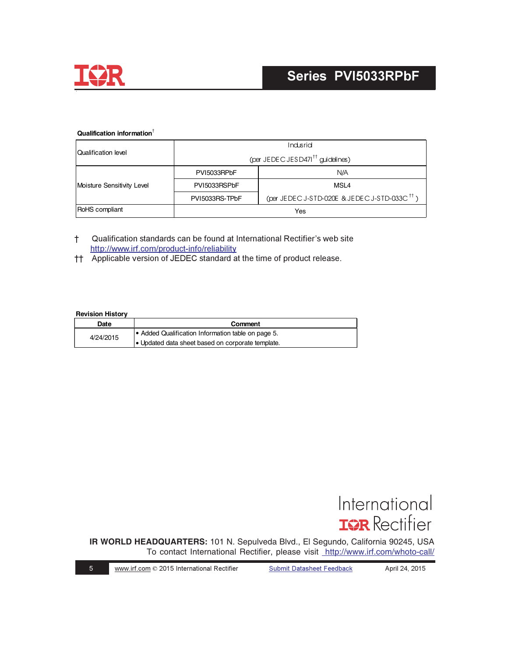

#### Qualification information<sup>†</sup>

| Qualification level        | Indusrid                                     |                                                          |  |
|----------------------------|----------------------------------------------|----------------------------------------------------------|--|
|                            | (per JEDEC JESD471 <sup>tt</sup> guidelines) |                                                          |  |
| Moisture Sensitivity Level | PVI5033RPbF                                  | N/A                                                      |  |
|                            | PVI5033RSPbF                                 | MSL4                                                     |  |
|                            | PVI5033RS-TPbF                               | (per JEDEC J-STD-020E & JEDEC J-STD-033C <sup>tt</sup> ) |  |
| RoHS compliant             | Yes                                          |                                                          |  |

- Qualification standards can be found at International Rectifier's web site  $\ddagger$ http://www.irf.com/product-info/reliability
- †† Applicable version of JEDEC standard at the time of product release.

#### **Revision History**

| Date      | Comment                                            |  |
|-----------|----------------------------------------------------|--|
| 4/24/2015 | • Added Qualification Information table on page 5. |  |
|           | • Updated data sheet based on corporate template.  |  |



IR WORLD HEADQUARTERS: 101 N. Sepulveda Blvd., El Segundo, California 90245, USA To contact International Rectifier, please visit http://www.irf.com/whoto-call/